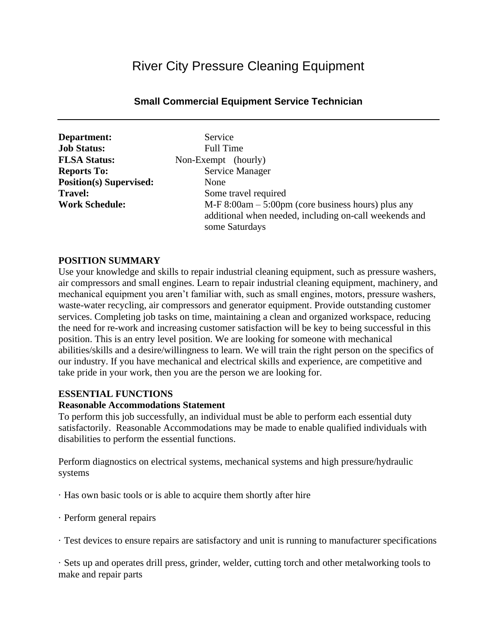# River City Pressure Cleaning Equipment

# **Small Commercial Equipment Service Technician**

| Department:                    |    |
|--------------------------------|----|
| <b>Job Status:</b>             |    |
| <b>FLSA Status:</b>            | No |
| <b>Reports To:</b>             |    |
| <b>Position(s)</b> Supervised: |    |
| <b>Travel:</b>                 |    |
| <b>Work Schedule:</b>          |    |

Service Full Time **FLATE** (hourly) **Service Manager Position(s) Supervised:** None Some travel required **M-F 8:00am – 5:00pm (core business hours) plus any** additional when needed, including on-call weekends and some Saturdays

#### **POSITION SUMMARY**

Use your knowledge and skills to repair industrial cleaning equipment, such as pressure washers, air compressors and small engines. Learn to repair industrial cleaning equipment, machinery, and mechanical equipment you aren't familiar with, such as small engines, motors, pressure washers, waste-water recycling, air compressors and generator equipment. Provide outstanding customer services. Completing job tasks on time, maintaining a clean and organized workspace, reducing the need for re-work and increasing customer satisfaction will be key to being successful in this position. This is an entry level position. We are looking for someone with mechanical abilities/skills and a desire/willingness to learn. We will train the right person on the specifics of our industry. If you have mechanical and electrical skills and experience, are competitive and take pride in your work, then you are the person we are looking for.

#### **ESSENTIAL FUNCTIONS**

#### **Reasonable Accommodations Statement**

To perform this job successfully, an individual must be able to perform each essential duty satisfactorily. Reasonable Accommodations may be made to enable qualified individuals with disabilities to perform the essential functions.

Perform diagnostics on electrical systems, mechanical systems and high pressure/hydraulic systems

- · Has own basic tools or is able to acquire them shortly after hire
- · Perform general repairs
- · Test devices to ensure repairs are satisfactory and unit is running to manufacturer specifications

· Sets up and operates drill press, grinder, welder, cutting torch and other metalworking tools to make and repair parts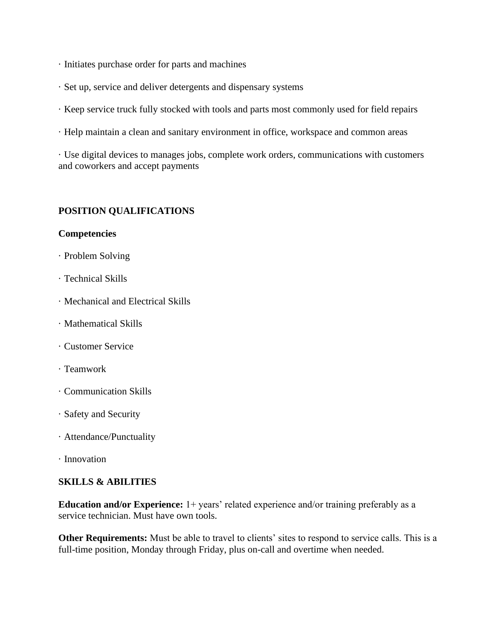- · Initiates purchase order for parts and machines
- · Set up, service and deliver detergents and dispensary systems
- · Keep service truck fully stocked with tools and parts most commonly used for field repairs
- · Help maintain a clean and sanitary environment in office, workspace and common areas

· Use digital devices to manages jobs, complete work orders, communications with customers and coworkers and accept payments

# **POSITION QUALIFICATIONS**

## **Competencies**

- · Problem Solving
- · Technical Skills
- · Mechanical and Electrical Skills
- · Mathematical Skills
- · Customer Service
- · Teamwork
- · Communication Skills
- · Safety and Security
- · Attendance/Punctuality
- · Innovation

# **SKILLS & ABILITIES**

**Education and/or Experience:** 1+ years' related experience and/or training preferably as a service technician. Must have own tools.

**Other Requirements:** Must be able to travel to clients' sites to respond to service calls. This is a full-time position, Monday through Friday, plus on-call and overtime when needed.